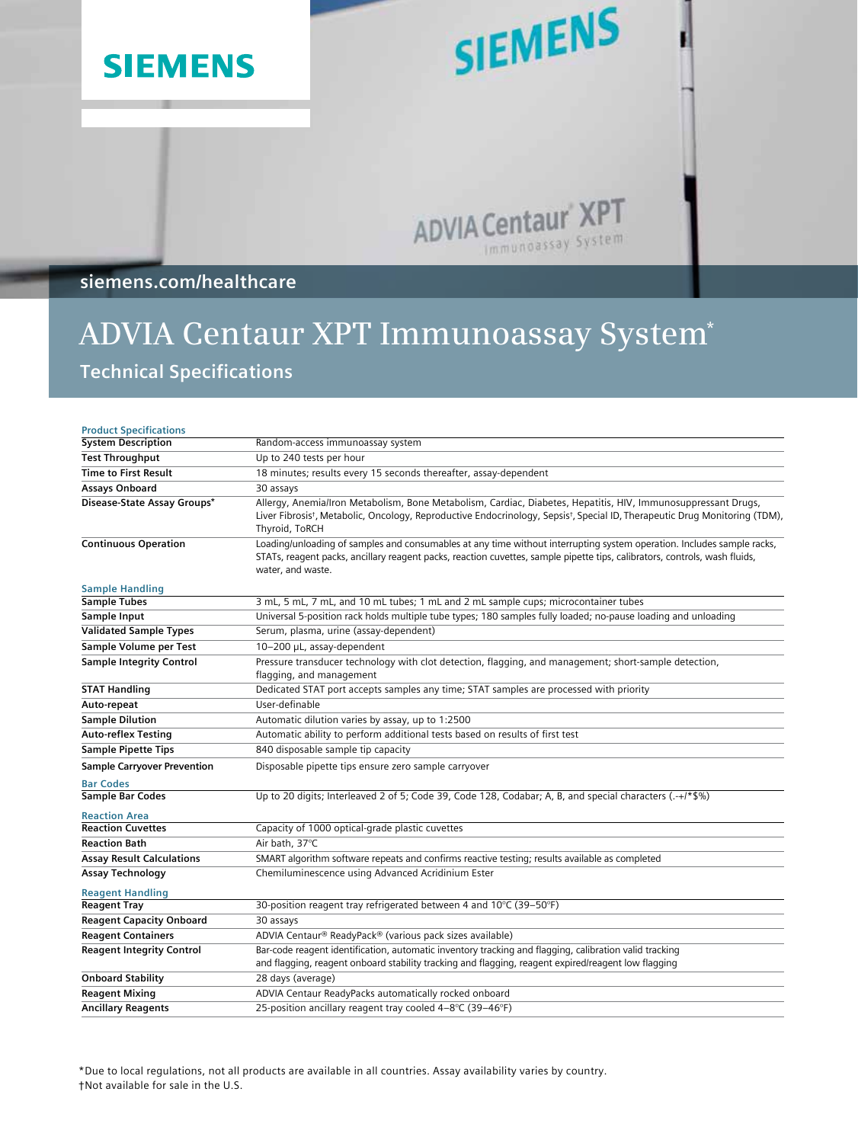

# SIEMENS

ADVIA Centaur XPT Immunoassay System

**siemens.com/healthcare**

## **ADVIA Centaur XPT Immunoassay System\* Technical Specifications**

| <b>Product Specifications</b>                   |                                                                                                                                                                                                                                                                                        |
|-------------------------------------------------|----------------------------------------------------------------------------------------------------------------------------------------------------------------------------------------------------------------------------------------------------------------------------------------|
| <b>System Description</b>                       | Random-access immunoassay system                                                                                                                                                                                                                                                       |
| <b>Test Throughput</b>                          | Up to 240 tests per hour                                                                                                                                                                                                                                                               |
| <b>Time to First Result</b>                     | 18 minutes; results every 15 seconds thereafter, assay-dependent                                                                                                                                                                                                                       |
| Assays Onboard                                  | 30 assays                                                                                                                                                                                                                                                                              |
| Disease-State Assay Groups*                     | Allergy, Anemia/Iron Metabolism, Bone Metabolism, Cardiac, Diabetes, Hepatitis, HIV, Immunosuppressant Drugs,<br>Liver Fibrosis <sup>†</sup> , Metabolic, Oncology, Reproductive Endocrinology, Sepsis <sup>†</sup> , Special ID, Therapeutic Drug Monitoring (TDM),<br>Thyroid, ToRCH |
| <b>Continuous Operation</b>                     | Loading/unloading of samples and consumables at any time without interrupting system operation. Includes sample racks,<br>STATs, reagent packs, ancillary reagent packs, reaction cuvettes, sample pipette tips, calibrators, controls, wash fluids,<br>water, and waste.              |
| <b>Sample Handling</b>                          |                                                                                                                                                                                                                                                                                        |
| <b>Sample Tubes</b>                             | 3 mL, 5 mL, 7 mL, and 10 mL tubes; 1 mL and 2 mL sample cups; microcontainer tubes                                                                                                                                                                                                     |
| Sample Input                                    | Universal 5-position rack holds multiple tube types; 180 samples fully loaded; no-pause loading and unloading                                                                                                                                                                          |
| <b>Validated Sample Types</b>                   | Serum, plasma, urine (assay-dependent)                                                                                                                                                                                                                                                 |
| Sample Volume per Test                          | 10-200 µL, assay-dependent                                                                                                                                                                                                                                                             |
| <b>Sample Integrity Control</b>                 | Pressure transducer technology with clot detection, flagging, and management; short-sample detection,<br>flagging, and management                                                                                                                                                      |
| <b>STAT Handling</b>                            | Dedicated STAT port accepts samples any time; STAT samples are processed with priority                                                                                                                                                                                                 |
| Auto-repeat                                     | User-definable                                                                                                                                                                                                                                                                         |
| <b>Sample Dilution</b>                          | Automatic dilution varies by assay, up to 1:2500                                                                                                                                                                                                                                       |
| <b>Auto-reflex Testing</b>                      | Automatic ability to perform additional tests based on results of first test                                                                                                                                                                                                           |
| <b>Sample Pipette Tips</b>                      | 840 disposable sample tip capacity                                                                                                                                                                                                                                                     |
| <b>Sample Carryover Prevention</b>              | Disposable pipette tips ensure zero sample carryover                                                                                                                                                                                                                                   |
| <b>Bar Codes</b>                                | Up to 20 digits; Interleaved 2 of 5; Code 39, Code 128, Codabar; A, B, and special characters (.-+/*\$%)                                                                                                                                                                               |
| <b>Sample Bar Codes</b><br><b>Reaction Area</b> |                                                                                                                                                                                                                                                                                        |
| <b>Reaction Cuvettes</b>                        | Capacity of 1000 optical-grade plastic cuvettes                                                                                                                                                                                                                                        |
| <b>Reaction Bath</b>                            | Air bath, 37°C                                                                                                                                                                                                                                                                         |
| <b>Assay Result Calculations</b>                | SMART algorithm software repeats and confirms reactive testing; results available as completed                                                                                                                                                                                         |
| <b>Assay Technology</b>                         | Chemiluminescence using Advanced Acridinium Ester                                                                                                                                                                                                                                      |
| <b>Reagent Handling</b>                         |                                                                                                                                                                                                                                                                                        |
| <b>Reagent Tray</b>                             | 30-position reagent tray refrigerated between 4 and 10°C (39-50°F)                                                                                                                                                                                                                     |
| <b>Reagent Capacity Onboard</b>                 | 30 assays                                                                                                                                                                                                                                                                              |
| <b>Reagent Containers</b>                       | ADVIA Centaur® ReadyPack® (various pack sizes available)                                                                                                                                                                                                                               |
| <b>Reagent Integrity Control</b>                | Bar-code reagent identification, automatic inventory tracking and flagging, calibration valid tracking<br>and flagging, reagent onboard stability tracking and flagging, reagent expired/reagent low flagging                                                                          |
| <b>Onboard Stability</b>                        | 28 days (average)                                                                                                                                                                                                                                                                      |
| <b>Reagent Mixing</b>                           | ADVIA Centaur ReadyPacks automatically rocked onboard                                                                                                                                                                                                                                  |
| <b>Ancillary Reagents</b>                       | 25-position ancillary reagent tray cooled 4-8°C (39-46°F)                                                                                                                                                                                                                              |

\*Due to local regulations, not all products are available in all countries. Assay availability varies by country. †Not available for sale in the U.S.